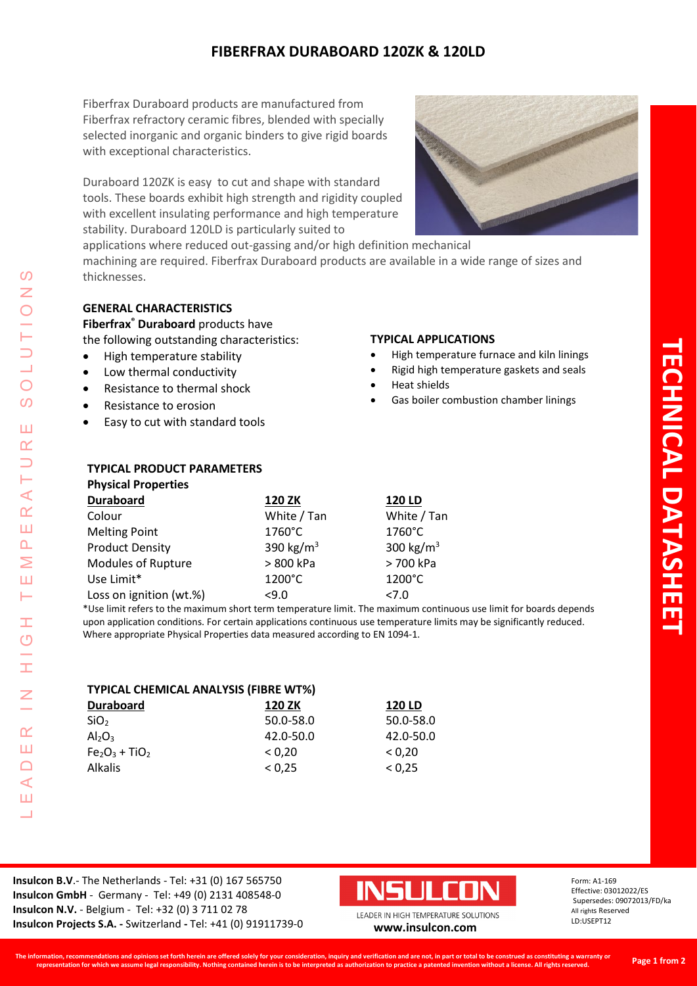# **FIBERFRAX DURABOARD 120ZK & 120LD**

Fiberfrax Duraboard products are manufactured from Fiberfrax refractory ceramic fibres, blended with specially selected inorganic and organic binders to give rigid boards with exceptional characteristics.

Duraboard 120ZK is easy to cut and shape with standard tools. These boards exhibit high strength and rigidity coupled with excellent insulating performance and high temperature stability. Duraboard 120LD is particularly suited to



applications where reduced out-gassing and/or high definition mechanical machining are required. Fiberfrax Duraboard products are available in a wide range of sizes and thicknesses.

# **GENERAL CHARACTERISTICS**

**Fiberfrax® Duraboard** products have

the following outstanding characteristics:

- High temperature stability
- Low thermal conductivity
- Resistance to thermal shock
- Resistance to erosion
- Easy to cut with standard tools

**TYPICAL PRODUCT PARAMETERS**

### **TYPICAL APPLICATIONS**

- High temperature furnace and kiln linings
- Rigid high temperature gaskets and seals
- Heat shields
- Gas boiler combustion chamber linings

| <b>Physical Properties</b> |                       |                       |
|----------------------------|-----------------------|-----------------------|
| <b>Duraboard</b>           | 120 ZK                | <b>120 LD</b>         |
| Colour                     | White / Tan           | White / Tan           |
| <b>Melting Point</b>       | 1760°C                | $1760^{\circ}$ C      |
| <b>Product Density</b>     | 390 kg/m <sup>3</sup> | 300 kg/m <sup>3</sup> |
| Modules of Rupture         | > 800 kPa             | > 700 kPa             |
| Use Limit*                 | 1200°C                | 1200°C                |
| Loss on ignition (wt.%)    | 59.0                  | 27.0                  |

\*Use limit refers to the maximum short term temperature limit. The maximum continuous use limit for boards depends upon application conditions. For certain applications continuous use temperature limits may be significantly reduced. Where appropriate Physical Properties data measured according to EN 1094-1.

| <b>TYPICAL CHEMICAL ANALYSIS (FIBRE WT%)</b> |           |               |  |  |  |  |
|----------------------------------------------|-----------|---------------|--|--|--|--|
| <b>Duraboard</b>                             | 120 ZK    | <b>120 LD</b> |  |  |  |  |
| SiO <sub>2</sub>                             | 50.0-58.0 | 50.0-58.0     |  |  |  |  |
| Al <sub>2</sub> O <sub>3</sub>               | 42.0-50.0 | 42.0-50.0     |  |  |  |  |
| $Fe2O3 + TiO2$                               | < 0.20    | < 0.20        |  |  |  |  |
| Alkalis                                      | < 0.25    | < 0.25        |  |  |  |  |

**Insulcon B.V**.- The Netherlands - Tel: +31 (0) 167 565750 **Insulcon GmbH** - Germany - Tel: +49 (0) 2131 408548-0 **Insulcon N.V.** - Belgium - Tel: +32 (0) 3 711 02 78 **Insulcon Projects S.A. -** Switzerland **-** Tel: +41 (0) 91911739-0 **[www.insulcon.com](http://www.insulcon.com/)**



Form: A1-169 Effective: 03012022/ES Supersedes: 09072013/FD/ka All rights Reserved LD:USEPT12